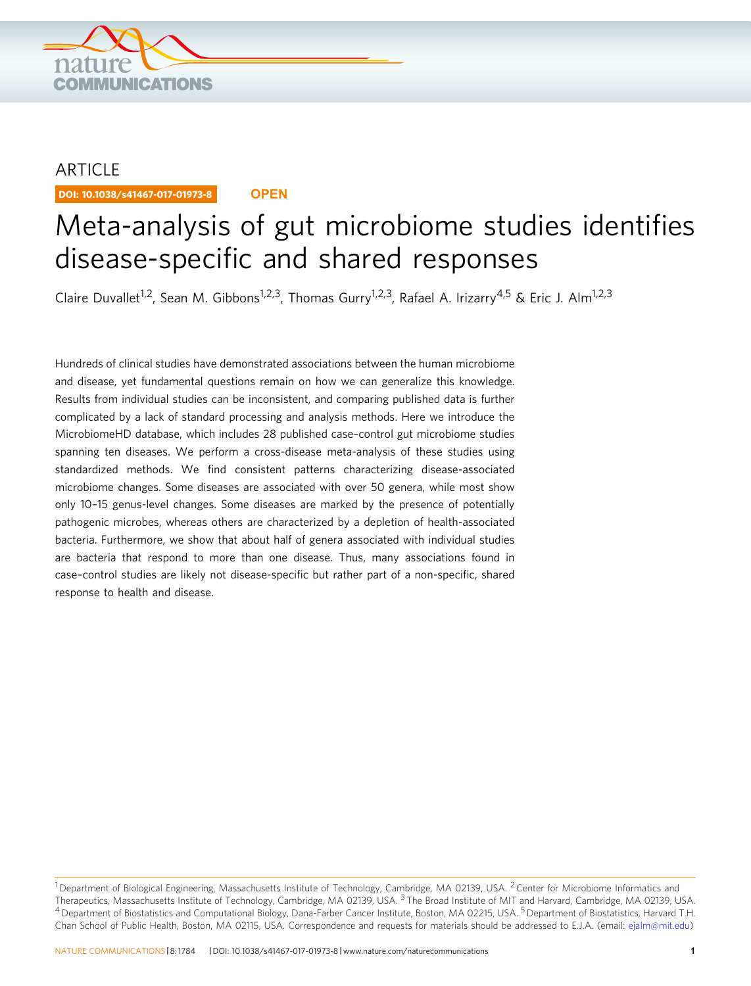

## ARTICLE

DOI: 10.1038/s41467-017-01973-8 **OPEN**

# Meta-analysis of gut microbiome studies identifies disease-specific and shared responses

Claire Duvallet<sup>1,2</sup>, Sean M. Gibbons<sup>1,2,3</sup>, Thomas Gurry<sup>1,2,3</sup>, Rafael A. Irizarry<sup>4,5</sup> & Eric J. Alm<sup>1,2,3</sup>

Hundreds of clinical studies have demonstrated associations between the human microbiome and disease, yet fundamental questions remain on how we can generalize this knowledge. Results from individual studies can be inconsistent, and comparing published data is further complicated by a lack of standard processing and analysis methods. Here we introduce the MicrobiomeHD database, which includes 28 published case–control gut microbiome studies spanning ten diseases. We perform a cross-disease meta-analysis of these studies using standardized methods. We find consistent patterns characterizing disease-associated microbiome changes. Some diseases are associated with over 50 genera, while most show only 10–15 genus-level changes. Some diseases are marked by the presence of potentially pathogenic microbes, whereas others are characterized by a depletion of health-associated bacteria. Furthermore, we show that about half of genera associated with individual studies are bacteria that respond to more than one disease. Thus, many associations found in case–control studies are likely not disease-specific but rather part of a non-specific, shared response to health and disease.

<sup>&</sup>lt;sup>1</sup> Department of Biological Engineering, Massachusetts Institute of Technology, Cambridge, MA 02139, USA. <sup>2</sup> Center for Microbiome Informatics and Therapeutics, Massachusetts Institute of Technology, Cambridge, MA 02139, USA. <sup>3</sup> The Broad Institute of MIT and Harvard, Cambridge, MA 02139, USA. <sup>4</sup> Department of Biostatistics and Computational Biology, Dana-Farber Cancer Institute, Boston, MA 02215, USA. <sup>5</sup> Department of Biostatistics, Harvard T.H. Chan School of Public Health, Boston, MA 02115, USA. Correspondence and requests for materials should be addressed to E.J.A. (email: [ejalm@mit.edu](mailto:ejalm@mit.edu))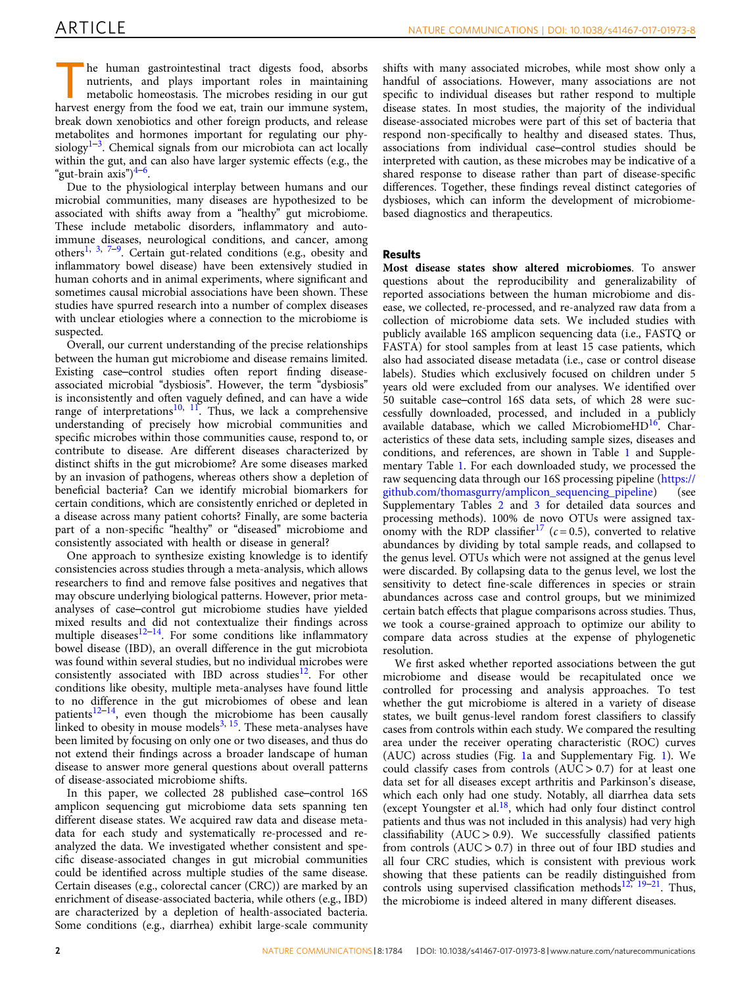he human gastrointestinal tract digests food, absorbs nutrients, and plays important roles in maintaining metabolic homeostasis. The microbes residing in our gut harvest energy from the food we eat, train our immune system, break down xenobiotics and other foreign products, and release metabolites and hormones important for regulating our phy-siology<sup>[1](#page-8-0)–[3](#page-8-0)</sup>. Chemical signals from our microbiota can act locally within the gut, and can also have larger systemic effects (e.g., the "gut-brain axis") [4](#page-8-0)–[6](#page-8-0).

Due to the physiological interplay between humans and our microbial communities, many diseases are hypothesized to be associated with shifts away from a "healthy" gut microbiome. These include metabolic disorders, inflammatory and autoimmune diseases, neurological conditions, and cancer, among others<sup>1, [3,](#page-8-0) [7](#page-8-0)–[9](#page-8-0)</sup>. Certain gut-related conditions (e.g., obesity and inflammatory bowel disease) have been extensively studied in human cohorts and in animal experiments, where significant and sometimes causal microbial associations have been shown. These studies have spurred research into a number of complex diseases with unclear etiologies where a connection to the microbiome is suspected.

Overall, our current understanding of the precise relationships between the human gut microbiome and disease remains limited. Existing case–control studies often report finding diseaseassociated microbial "dysbiosis". However, the term "dysbiosis" is inconsistently and often vaguely defined, and can have a wide range of interpretations<sup>[10,](#page-8-0) 11</sup>. Thus, we lack a comprehensive understanding of precisely how microbial communities and specific microbes within those communities cause, respond to, or contribute to disease. Are different diseases characterized by distinct shifts in the gut microbiome? Are some diseases marked by an invasion of pathogens, whereas others show a depletion of beneficial bacteria? Can we identify microbial biomarkers for certain conditions, which are consistently enriched or depleted in a disease across many patient cohorts? Finally, are some bacteria part of a non-specific "healthy" or "diseased" microbiome and consistently associated with health or disease in general?

One approach to synthesize existing knowledge is to identify consistencies across studies through a meta-analysis, which allows researchers to find and remove false positives and negatives that may obscure underlying biological patterns. However, prior metaanalyses of case–control gut microbiome studies have yielded mixed results and did not contextualize their findings across multiple diseases $12-14$  $12-14$  $12-14$ . For some conditions like inflammatory bowel disease (IBD), an overall difference in the gut microbiota was found within several studies, but no individual microbes were consistently associated with IBD across studies<sup>12</sup>. For other conditions like obesity, multiple meta-analyses have found little to no difference in the gut microbiomes of obese and lean patients<sup>[12](#page-8-0)–14</sup>, even though the microbiome has been causally linked to obesity in mouse models<sup>[3,](#page-8-0) 15</sup>. These meta-analyses have been limited by focusing on only one or two diseases, and thus do not extend their findings across a broader landscape of human disease to answer more general questions about overall patterns of disease-associated microbiome shifts.

In this paper, we collected 28 published case–control 16S amplicon sequencing gut microbiome data sets spanning ten different disease states. We acquired raw data and disease metadata for each study and systematically re-processed and reanalyzed the data. We investigated whether consistent and specific disease-associated changes in gut microbial communities could be identified across multiple studies of the same disease. Certain diseases (e.g., colorectal cancer (CRC)) are marked by an enrichment of disease-associated bacteria, while others (e.g., IBD) are characterized by a depletion of health-associated bacteria. Some conditions (e.g., diarrhea) exhibit large-scale community

shifts with many associated microbes, while most show only a handful of associations. However, many associations are not specific to individual diseases but rather respond to multiple disease states. In most studies, the majority of the individual disease-associated microbes were part of this set of bacteria that respond non-specifically to healthy and diseased states. Thus, associations from individual case–control studies should be interpreted with caution, as these microbes may be indicative of a shared response to disease rather than part of disease-specific differences. Together, these findings reveal distinct categories of dysbioses, which can inform the development of microbiomebased diagnostics and therapeutics.

## Results

Most disease states show altered microbiomes. To answer questions about the reproducibility and generalizability of reported associations between the human microbiome and disease, we collected, re-processed, and re-analyzed raw data from a collection of microbiome data sets. We included studies with publicly available 16S amplicon sequencing data (i.e., FASTQ or FASTA) for stool samples from at least 15 case patients, which also had associated disease metadata (i.e., case or control disease labels). Studies which exclusively focused on children under 5 years old were excluded from our analyses. We identified over 50 suitable case–control 16S data sets, of which 28 were successfully downloaded, processed, and included in a publicly available database, which we called MicrobiomeHD<sup>16</sup>. Characteristics of these data sets, including sample sizes, diseases and conditions, and references, are shown in Table [1](#page-2-0) and Supplementary Table 1. For each downloaded study, we processed the raw sequencing data through our 16S processing pipeline [\(https://](https://github.com/thomasgurry/amplicon_sequencing_pipeline) [github.com/thomasgurry/amplicon\\_sequencing\\_pipeline\)](https://github.com/thomasgurry/amplicon_sequencing_pipeline) (see Supplementary Tables 2 and 3 for detailed data sources and processing methods). 100% de novo OTUs were assigned tax-onomy with the RDP classifier<sup>[17](#page-8-0)</sup> ( $c = 0.5$ ), converted to relative abundances by dividing by total sample reads, and collapsed to the genus level. OTUs which were not assigned at the genus level were discarded. By collapsing data to the genus level, we lost the sensitivity to detect fine-scale differences in species or strain abundances across case and control groups, but we minimized certain batch effects that plague comparisons across studies. Thus, we took a course-grained approach to optimize our ability to compare data across studies at the expense of phylogenetic resolution.

We first asked whether reported associations between the gut microbiome and disease would be recapitulated once we controlled for processing and analysis approaches. To test whether the gut microbiome is altered in a variety of disease states, we built genus-level random forest classifiers to classify cases from controls within each study. We compared the resulting area under the receiver operating characteristic (ROC) curves (AUC) across studies (Fig. [1a](#page-3-0) and Supplementary Fig. 1). We could classify cases from controls  $(AUC > 0.7)$  for at least one data set for all diseases except arthritis and Parkinson's disease, which each only had one study. Notably, all diarrhea data sets (except Youngster et al. $^{18}$  $^{18}$  $^{18}$ , which had only four distinct control patients and thus was not included in this analysis) had very high classifiability  $(AUC > 0.9)$ . We successfully classified patients from controls  $(AUC > 0.7)$  in three out of four IBD studies and all four CRC studies, which is consistent with previous work showing that these patients can be readily distinguished from controls using supervised classification methods<sup>[12](#page-8-0), [19](#page-8-0)–21</sup>. Thus, the microbiome is indeed altered in many different diseases.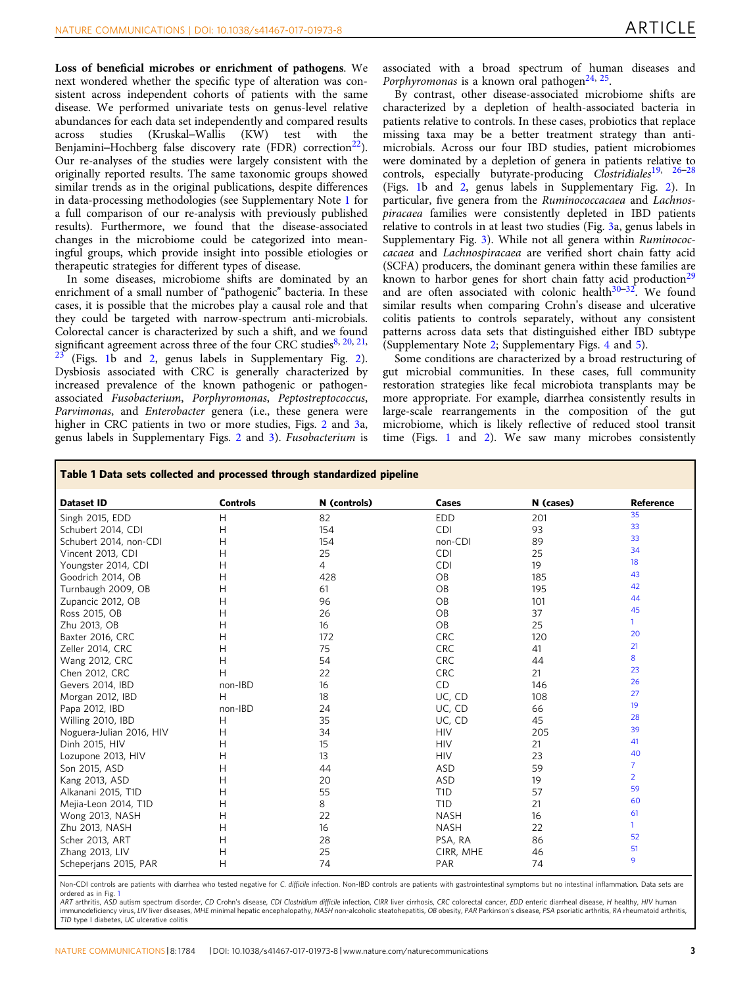<span id="page-2-0"></span>Loss of beneficial microbes or enrichment of pathogens. We next wondered whether the specific type of alteration was consistent across independent cohorts of patients with the same disease. We performed univariate tests on genus-level relative abundances for each data set independently and compared results across studies (Kruskal–Wallis (KW) test with the Benjamini–Hochberg false discovery rate  $(FDR)$  correction<sup>[22](#page-9-0)</sup>). Our re-analyses of the studies were largely consistent with the originally reported results. The same taxonomic groups showed similar trends as in the original publications, despite differences in data-processing methodologies (see Supplementary Note 1 for a full comparison of our re-analysis with previously published results). Furthermore, we found that the disease-associated changes in the microbiome could be categorized into meaningful groups, which provide insight into possible etiologies or therapeutic strategies for different types of disease.

In some diseases, microbiome shifts are dominated by an enrichment of a small number of "pathogenic" bacteria. In these cases, it is possible that the microbes play a causal role and that they could be targeted with narrow-spectrum anti-microbials. Colorectal cancer is characterized by such a shift, and we found significant agreement across three of the four CRC studies<sup>[8](#page-8-0), [20](#page-9-0), [21,](#page-9-0) 23</sup> (Figs. [1b](#page-3-0) and [2](#page-4-0), genus labels in Supplementary Fig. 2). Dysbiosis associated with CRC is generally characterized by increased prevalence of the known pathogenic or pathogenassociated Fusobacterium, Porphyromonas, Peptostreptococcus, Parvimonas, and Enterobacter genera (i.e., these genera were higher in CRC patients in two or more studies, Figs. [2](#page-4-0) and [3](#page-5-0)a, genus labels in Supplementary Figs. 2 and 3). Fusobacterium is associated with a broad spectrum of human diseases and Porphyromonas is a known oral pathogen<sup>24, [25](#page-9-0)</sup>.

By contrast, other disease-associated microbiome shifts are characterized by a depletion of health-associated bacteria in patients relative to controls. In these cases, probiotics that replace missing taxa may be a better treatment strategy than antimicrobials. Across our four IBD studies, patient microbiomes were dominated by a depletion of genera in patients relative to controls, especially butyrate-producing  $Clostridiales^{19}$ ,  $26-28$  $26-28$  $26-28$ (Figs. [1](#page-3-0)b and [2,](#page-4-0) genus labels in Supplementary Fig. 2). In particular, five genera from the Ruminococcacaea and Lachnospiracaea families were consistently depleted in IBD patients relative to controls in at least two studies (Fig. [3a](#page-5-0), genus labels in Supplementary Fig. 3). While not all genera within Ruminococcacaea and Lachnospiracaea are verified short chain fatty acid (SCFA) producers, the dominant genera within these families are known to harbor genes for short chain fatty acid production<sup>[29](#page-9-0)</sup> and are often associated with colonic health $30-32$ . We found similar results when comparing Crohn's disease and ulcerative colitis patients to controls separately, without any consistent patterns across data sets that distinguished either IBD subtype (Supplementary Note 2; Supplementary Figs. 4 and 5).

Some conditions are characterized by a broad restructuring of gut microbial communities. In these cases, full community restoration strategies like fecal microbiota transplants may be more appropriate. For example, diarrhea consistently results in large-scale rearrangements in the composition of the gut microbiome, which is likely reflective of reduced stool transit time (Figs. [1](#page-3-0) and [2\)](#page-4-0). We saw many microbes consistently

| Table 1 Data sets collected and processed through standardized pipeline |                 |                |                  |           |                  |
|-------------------------------------------------------------------------|-----------------|----------------|------------------|-----------|------------------|
| <b>Dataset ID</b>                                                       | <b>Controls</b> | N (controls)   | Cases            | N (cases) | <b>Reference</b> |
| Singh 2015, EDD                                                         | H               | 82             | <b>EDD</b>       | 201       | 35               |
| Schubert 2014, CDI                                                      | Н               | 154            | <b>CDI</b>       | 93        | 33               |
| Schubert 2014, non-CDI                                                  | Н               | 154            | non-CDI          | 89        | 33               |
| Vincent 2013, CDI                                                       | H               | 25             | <b>CDI</b>       | 25        | 34               |
| Youngster 2014, CDI                                                     | H               | $\overline{4}$ | <b>CDI</b>       | 19        | 18               |
| Goodrich 2014, OB                                                       | H               | 428            | <b>OB</b>        | 185       | 43               |
| Turnbaugh 2009, OB                                                      | H               | 61             | <b>OB</b>        | 195       | 42               |
| Zupancic 2012, OB                                                       | Н               | 96             | <b>OB</b>        | 101       | 44               |
| Ross 2015, OB                                                           | Н               | 26             | <b>OB</b>        | 37        | 45               |
| Zhu 2013, OB                                                            | H               | 16             | OB               | 25        | $\mathbf{1}$     |
| Baxter 2016, CRC                                                        | Н               | 172            | <b>CRC</b>       | 120       | 20               |
| Zeller 2014, CRC                                                        | Н               | 75             | <b>CRC</b>       | 41        | 21               |
| Wang 2012, CRC                                                          | H               | 54             | <b>CRC</b>       | 44        | 8                |
| Chen 2012, CRC                                                          | Н               | 22             | <b>CRC</b>       | 21        | 23               |
| Gevers 2014, IBD                                                        | non-IBD         | 16             | <b>CD</b>        | 146       | 26               |
| Morgan 2012, IBD                                                        | H               | 18             | UC, CD           | 108       | 27               |
| Papa 2012, IBD                                                          | non-IBD         | 24             | UC, CD           | 66        | 19               |
| Willing 2010, IBD                                                       | H               | 35             | UC, CD           | 45        | 28               |
| Noguera-Julian 2016, HIV                                                | H               | 34             | <b>HIV</b>       | 205       | 39               |
| Dinh 2015, HIV                                                          | Н               | 15             | <b>HIV</b>       | 21        | 41               |
| Lozupone 2013, HIV                                                      | H               | 13             | <b>HIV</b>       | 23        | 40               |
| Son 2015, ASD                                                           | Н               | 44             | ASD              | 59        | $\overline{7}$   |
| Kang 2013, ASD                                                          | Н               | 20             | ASD              | 19        | $\overline{2}$   |
| Alkanani 2015, T1D                                                      | H               | 55             | T <sub>1</sub> D | 57        | 59               |
| Mejia-Leon 2014, T1D                                                    | Н               | 8              | T <sub>1</sub> D | 21        | 60               |
| Wong 2013, NASH                                                         | Н               | 22             | <b>NASH</b>      | 16        | 61               |
| Zhu 2013, NASH                                                          | Н               | 16             | <b>NASH</b>      | 22        | $\mathbf{1}$     |
| Scher 2013, ART                                                         | Н               | 28             | PSA, RA          | 86        | 52               |
| Zhang 2013, LIV                                                         | Н               | 25             | CIRR, MHE        | 46        | 51               |
| Scheperjans 2015, PAR                                                   | Н               | 74             | PAR              | 74        | 9                |

Non-CDI controls are patients with diarrhea who tested negative for C. difficile infection. Non-IBD controls are patients with gastrointestinal symptoms but no intestinal inflammation. Data sets are ordered as in Fig.

ART arthritis, ASD autism spectrum disorder, CD Crohn's disease, CDI Clostridium difficile infection, CIRR liver cirrhosis, CRC colorectal cancer, EDD enteric diarrheal disease, H healthy, HIV human immunodeficiency virus, LIV liver diseases, MHE minimal hepatic encephalopathy, NASH non-alcoholic steatohepatitis, OB obesity, PAR Parkinson's disease, PSA psoriatic arthritis, RA rheumatoid arthritis, T1D type I diabetes, UC ulcerative colitis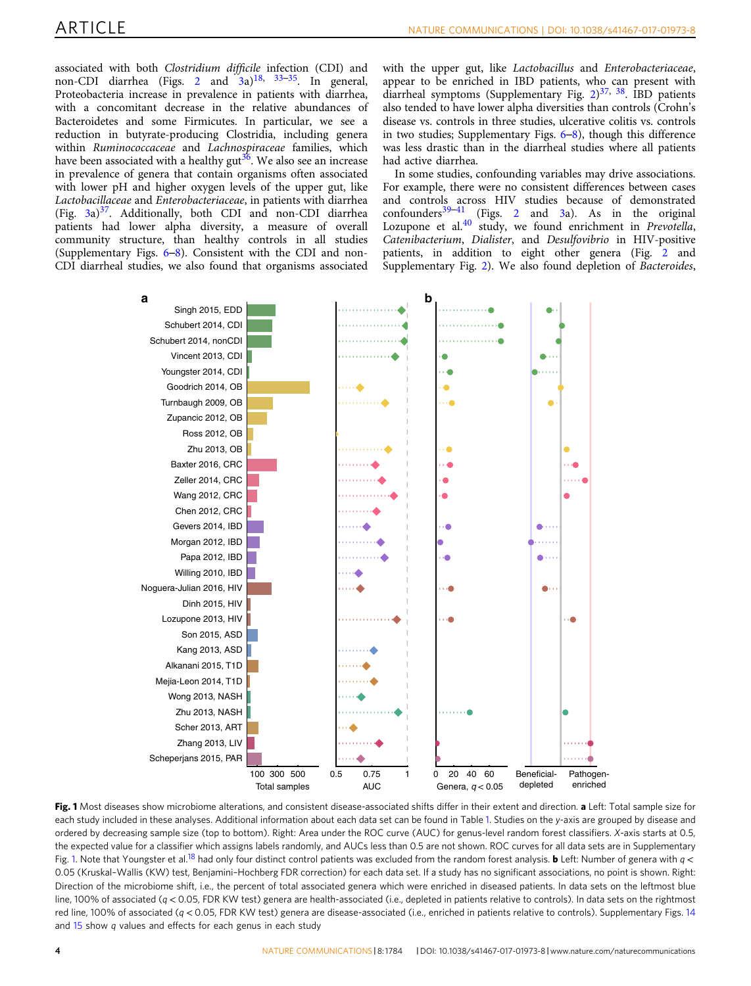<span id="page-3-0"></span>associated with both Clostridium difficile infection (CDI) and non-CDI diarrhea (Figs. [2](#page-4-0) and  $3a$ )<sup>[18](#page-8-0), [33](#page-9-0)–35</sup>. In general, Proteobacteria increase in prevalence in patients with diarrhea, with a concomitant decrease in the relative abundances of Bacteroidetes and some Firmicutes. In particular, we see a reduction in butyrate-producing Clostridia, including genera within Ruminococcaceae and Lachnospiraceae families, which have been associated with a healthy gut<sup>36</sup>. We also see an increase in prevalence of genera that contain organisms often associated with lower pH and higher oxygen levels of the upper gut, like Lactobacillaceae and Enterobacteriaceae, in patients with diarrhea (Fig.  $3a^{37}$  $3a^{37}$ . Additionally, both CDI and non-CDI diarrhea patients had lower alpha diversity, a measure of overall community structure, than healthy controls in all studies (Supplementary Figs. 6–8). Consistent with the CDI and non-CDI diarrheal studies, we also found that organisms associated

with the upper gut, like Lactobacillus and Enterobacteriaceae, appear to be enriched in IBD patients, who can present with diarrheal symptoms (Supplementary Fig.  $2)^{37}$  $2)^{37}$  $2)^{37}$ ,  $38$ . IBD patients also tended to have lower alpha diversities than controls (Crohn's disease vs. controls in three studies, ulcerative colitis vs. controls in two studies; Supplementary Figs. 6–8), though this difference was less drastic than in the diarrheal studies where all patients had active diarrhea.

In some studies, confounding variables may drive associations. For example, there were no consistent differences between cases and controls across HIV studies because of demonstrated  $confounders<sup>39–41</sup>$  $confounders<sup>39–41</sup>$  $confounders<sup>39–41</sup>$  $confounders<sup>39–41</sup>$  $confounders<sup>39–41</sup>$  (Figs. [2](#page-4-0) and [3](#page-5-0)a). As in the original Lozupone et al. $40 \text{ study}$  $40 \text{ study}$ , we found enrichment in *Prevotella*, Catenibacterium, Dialister, and Desulfovibrio in HIV-positive patients, in addition to eight other genera (Fig. [2](#page-4-0) and Supplementary Fig. 2). We also found depletion of Bacteroides,



Fig. 1 Most diseases show microbiome alterations, and consistent disease-associated shifts differ in their extent and direction. a Left: Total sample size for each study included in these analyses. Additional information about each data set can be found in Table [1](#page-2-0). Studies on the y-axis are grouped by disease and ordered by decreasing sample size (top to bottom). Right: Area under the ROC curve (AUC) for genus-level random forest classifiers. X-axis starts at 0.5, the expected value for a classifier which assigns labels randomly, and AUCs less than 0.5 are not shown. ROC curves for all data sets are in Supplementary Fig. 1. Note that Youngster et al.<sup>18</sup> had only four distinct control patients was excluded from the random forest analysis. **b** Left: Number of genera with  $q$  < 0.05 (Kruskal–Wallis (KW) test, Benjamini–Hochberg FDR correction) for each data set. If a study has no significant associations, no point is shown. Right: Direction of the microbiome shift, i.e., the percent of total associated genera which were enriched in diseased patients. In data sets on the leftmost blue line, 100% of associated (q < 0.05, FDR KW test) genera are health-associated (i.e., depleted in patients relative to controls). In data sets on the rightmost red line, 100% of associated (q < 0.05, FDR KW test) genera are disease-associated (i.e., enriched in patients relative to controls). Supplementary Figs. 14 and 15 show q values and effects for each genus in each study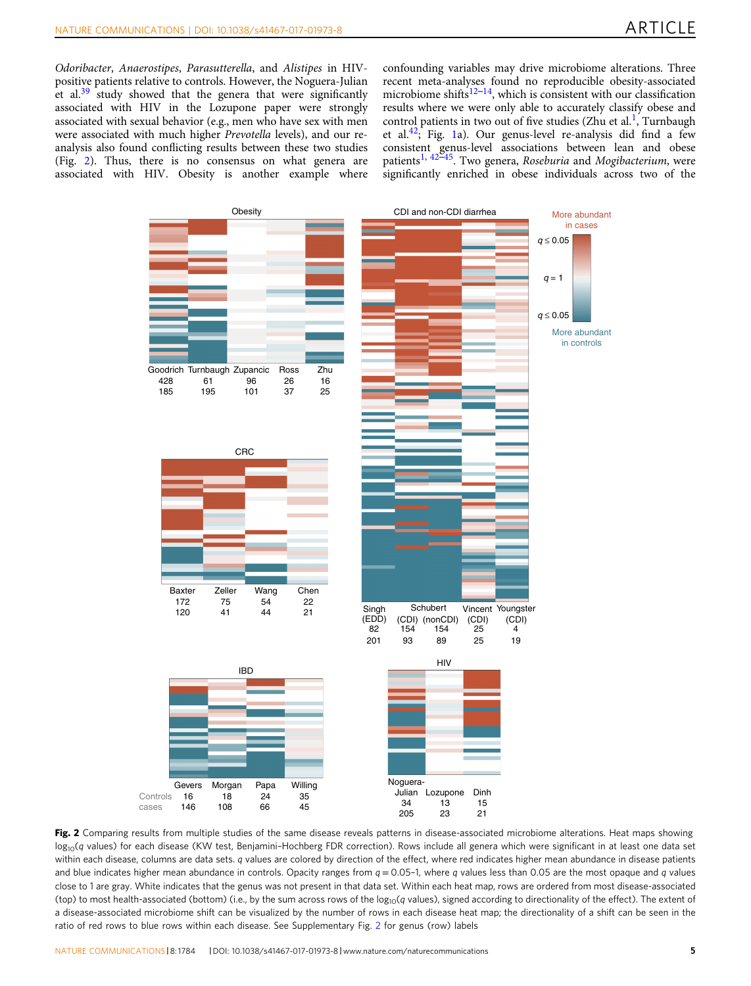<span id="page-4-0"></span>Odoribacter, Anaerostipes, Parasutterella, and Alistipes in HIVpositive patients relative to controls. However, the Noguera-Julian et al. $39$  study showed that the genera that were significantly associated with HIV in the Lozupone paper were strongly associated with sexual behavior (e.g., men who have sex with men were associated with much higher Prevotella levels), and our reanalysis also found conflicting results between these two studies (Fig. 2). Thus, there is no consensus on what genera are associated with HIV. Obesity is another example where confounding variables may drive microbiome alterations. Three recent meta-analyses found no reproducible obesity-associated microbiome shifts<sup>[12](#page-8-0)–[14](#page-8-0)</sup>, which is consistent with our classification results where we were only able to accurately classify obese and control patients in two out of five studies  $(Zhu et al.<sup>1</sup>, Turnbaugh)$ et al.<sup>42</sup>; Fig. [1a](#page-3-0)). Our genus-level re-analysis did find a few consistent genus-level associations between lean and obese patients<sup>[1,](#page-8-0) [42](#page-9-0)–[45](#page-9-0)</sup>. Two genera, Roseburia and Mogibacterium, were significantly enriched in obese individuals across two of the



Fig. 2 Comparing results from multiple studies of the same disease reveals patterns in disease-associated microbiome alterations. Heat maps showing log<sub>10</sub>(q values) for each disease (KW test, Benjamini-Hochberg FDR correction). Rows include all genera which were significant in at least one data set within each disease, columns are data sets. q values are colored by direction of the effect, where red indicates higher mean abundance in disease patients and blue indicates higher mean abundance in controls. Opacity ranges from  $q = 0.05$ -1, where q values less than 0.05 are the most opaque and q values close to 1 are gray. White indicates that the genus was not present in that data set. Within each heat map, rows are ordered from most disease-associated (top) to most health-associated (bottom) (i.e., by the sum across rows of the log<sub>10</sub>(q values), signed according to directionality of the effect). The extent of a disease-associated microbiome shift can be visualized by the number of rows in each disease heat map; the directionality of a shift can be seen in the ratio of red rows to blue rows within each disease. See Supplementary Fig. 2 for genus (row) labels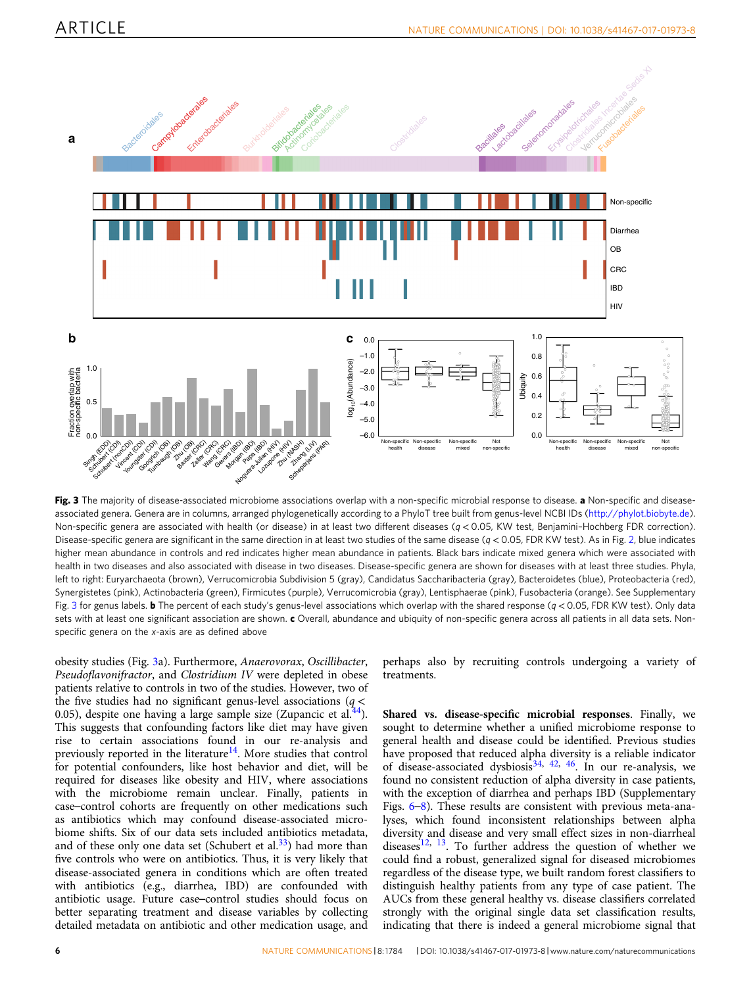<span id="page-5-0"></span>

Fig. 3 The majority of disease-associated microbiome associations overlap with a non-specific microbial response to disease. a Non-specific and diseaseassociated genera. Genera are in columns, arranged phylogenetically according to a PhyloT tree built from genus-level NCBI IDs ([http://phylot.biobyte.de\)](http://phylot.biobyte.de). Non-specific genera are associated with health (or disease) in at least two different diseases (q < 0.05, KW test, Benjamini–Hochberg FDR correction). Disease-specific genera are significant in the same direction in at least two studies of the same disease ( $q$  < 0.05, FDR KW test). As in Fig. [2,](#page-4-0) blue indicates higher mean abundance in controls and red indicates higher mean abundance in patients. Black bars indicate mixed genera which were associated with health in two diseases and also associated with disease in two diseases. Disease-specific genera are shown for diseases with at least three studies. Phyla, left to right: Euryarchaeota (brown), Verrucomicrobia Subdivision 5 (gray), Candidatus Saccharibacteria (gray), Bacteroidetes (blue), Proteobacteria (red), Synergistetes (pink), Actinobacteria (green), Firmicutes (purple), Verrucomicrobia (gray), Lentisphaerae (pink), Fusobacteria (orange). See Supplementary Fig. 3 for genus labels. **b** The percent of each study's genus-level associations which overlap with the shared response ( $q$  < 0.05, FDR KW test). Only data sets with at least one significant association are shown. c Overall, abundance and ubiquity of non-specific genera across all patients in all data sets. Nonspecific genera on the x-axis are as defined above

obesity studies (Fig. 3a). Furthermore, Anaerovorax, Oscillibacter, Pseudoflavonifractor, and Clostridium IV were depleted in obese patients relative to controls in two of the studies. However, two of the five studies had no significant genus-level associations ( $q$  < 0.05), despite one having a large sample size (Zupancic et al. $^{44}$ ). This suggests that confounding factors like diet may have given rise to certain associations found in our re-analysis and previously reported in the literature<sup>[14](#page-8-0)</sup>. More studies that control for potential confounders, like host behavior and diet, will be required for diseases like obesity and HIV, where associations with the microbiome remain unclear. Finally, patients in case–control cohorts are frequently on other medications such as antibiotics which may confound disease-associated microbiome shifts. Six of our data sets included antibiotics metadata, and of these only one data set (Schubert et al. $33$ ) had more than five controls who were on antibiotics. Thus, it is very likely that disease-associated genera in conditions which are often treated with antibiotics (e.g., diarrhea, IBD) are confounded with antibiotic usage. Future case–control studies should focus on better separating treatment and disease variables by collecting detailed metadata on antibiotic and other medication usage, and

perhaps also by recruiting controls undergoing a variety of treatments.

Shared vs. disease-specific microbial responses. Finally, we sought to determine whether a unified microbiome response to general health and disease could be identified. Previous studies have proposed that reduced alpha diversity is a reliable indicator of disease-associated dysbiosis<sup>[34,](#page-9-0) [42,](#page-9-0) [46](#page-9-0)</sup>. In our re-analysis, we found no consistent reduction of alpha diversity in case patients, with the exception of diarrhea and perhaps IBD (Supplementary Figs. 6–8). These results are consistent with previous meta-analyses, which found inconsistent relationships between alpha diversity and disease and very small effect sizes in non-diarrheal diseases<sup>[12,](#page-8-0) 13</sup>. To further address the question of whether we could find a robust, generalized signal for diseased microbiomes regardless of the disease type, we built random forest classifiers to distinguish healthy patients from any type of case patient. The AUCs from these general healthy vs. disease classifiers correlated strongly with the original single data set classification results, indicating that there is indeed a general microbiome signal that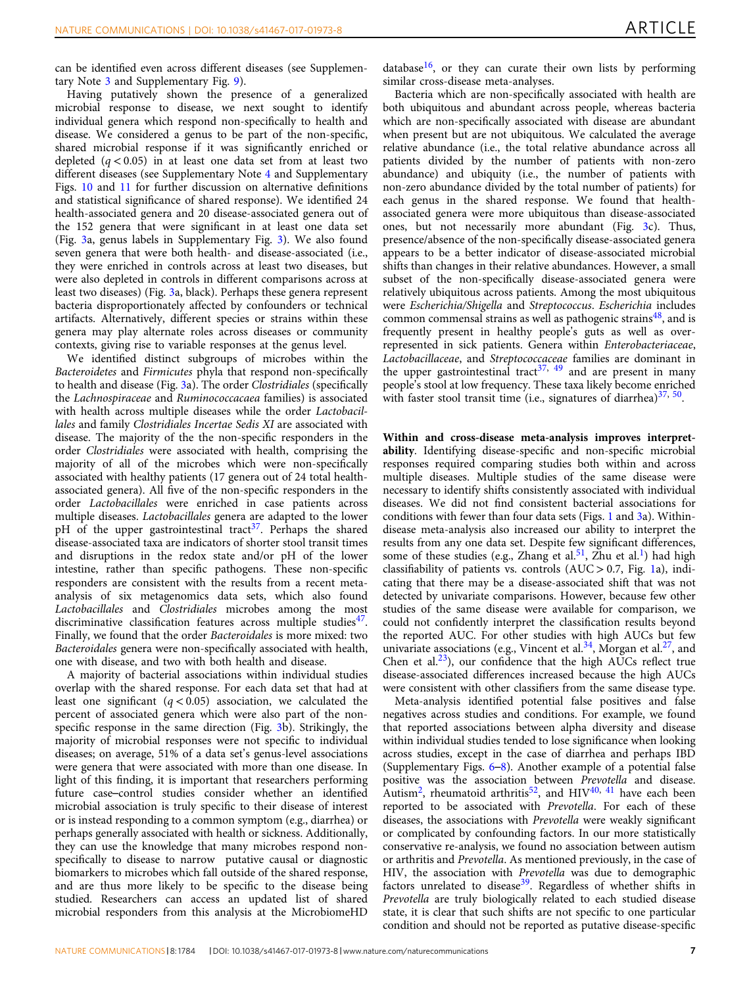can be identified even across different diseases (see Supplementary Note 3 and Supplementary Fig. 9).

Having putatively shown the presence of a generalized microbial response to disease, we next sought to identify individual genera which respond non-specifically to health and disease. We considered a genus to be part of the non-specific, shared microbial response if it was significantly enriched or depleted  $(q < 0.05)$  in at least one data set from at least two different diseases (see Supplementary Note 4 and Supplementary Figs. 10 and 11 for further discussion on alternative definitions and statistical significance of shared response). We identified 24 health-associated genera and 20 disease-associated genera out of the 152 genera that were significant in at least one data set (Fig. [3](#page-5-0)a, genus labels in Supplementary Fig. 3). We also found seven genera that were both health- and disease-associated (i.e., they were enriched in controls across at least two diseases, but were also depleted in controls in different comparisons across at least two diseases) (Fig. [3a](#page-5-0), black). Perhaps these genera represent bacteria disproportionately affected by confounders or technical artifacts. Alternatively, different species or strains within these genera may play alternate roles across diseases or community contexts, giving rise to variable responses at the genus level.

We identified distinct subgroups of microbes within the Bacteroidetes and Firmicutes phyla that respond non-specifically to health and disease (Fig. [3a](#page-5-0)). The order Clostridiales (specifically the Lachnospiraceae and Ruminococcacaea families) is associated with health across multiple diseases while the order Lactobacillales and family Clostridiales Incertae Sedis XI are associated with disease. The majority of the the non-specific responders in the order Clostridiales were associated with health, comprising the majority of all of the microbes which were non-specifically associated with healthy patients (17 genera out of 24 total healthassociated genera). All five of the non-specific responders in the order Lactobacillales were enriched in case patients across multiple diseases. Lactobacillales genera are adapted to the lower pH of the upper gastrointestinal tract<sup>[37](#page-9-0)</sup>. Perhaps the shared disease-associated taxa are indicators of shorter stool transit times and disruptions in the redox state and/or pH of the lower intestine, rather than specific pathogens. These non-specific responders are consistent with the results from a recent metaanalysis of six metagenomics data sets, which also found Lactobacillales and Clostridiales microbes among the most discriminative classification features across multiple studies<sup> $47$ </sup>. Finally, we found that the order Bacteroidales is more mixed: two Bacteroidales genera were non-specifically associated with health, one with disease, and two with both health and disease.

A majority of bacterial associations within individual studies overlap with the shared response. For each data set that had at least one significant  $(q < 0.05)$  association, we calculated the percent of associated genera which were also part of the nonspecific response in the same direction (Fig. [3b](#page-5-0)). Strikingly, the majority of microbial responses were not specific to individual diseases; on average, 51% of a data set's genus-level associations were genera that were associated with more than one disease. In light of this finding, it is important that researchers performing future case–control studies consider whether an identified microbial association is truly specific to their disease of interest or is instead responding to a common symptom (e.g., diarrhea) or perhaps generally associated with health or sickness. Additionally, they can use the knowledge that many microbes respond nonspecifically to disease to narrow putative causal or diagnostic biomarkers to microbes which fall outside of the shared response, and are thus more likely to be specific to the disease being studied. Researchers can access an updated list of shared microbial responders from this analysis at the MicrobiomeHD

database $^{16}$  $^{16}$  $^{16}$ , or they can curate their own lists by performing similar cross-disease meta-analyses.

Bacteria which are non-specifically associated with health are both ubiquitous and abundant across people, whereas bacteria which are non-specifically associated with disease are abundant when present but are not ubiquitous. We calculated the average relative abundance (i.e., the total relative abundance across all patients divided by the number of patients with non-zero abundance) and ubiquity (i.e., the number of patients with non-zero abundance divided by the total number of patients) for each genus in the shared response. We found that healthassociated genera were more ubiquitous than disease-associated ones, but not necessarily more abundant (Fig. [3](#page-5-0)c). Thus, presence/absence of the non-specifically disease-associated genera appears to be a better indicator of disease-associated microbial shifts than changes in their relative abundances. However, a small subset of the non-specifically disease-associated genera were relatively ubiquitous across patients. Among the most ubiquitous were Escherichia/Shigella and Streptococcus. Escherichia includes common commensal strains as well as pathogenic strains<sup>[48](#page-9-0)</sup>, and is frequently present in healthy people's guts as well as overrepresented in sick patients. Genera within Enterobacteriaceae, Lactobacillaceae, and Streptococcaceae families are dominant in the upper gastrointestinal tract<sup>[37,](#page-9-0) [49](#page-9-0)</sup> and are present in many people's stool at low frequency. These taxa likely become enriched with faster stool transit time (i.e., signatures of diarrhea) $37, 50$  $37, 50$ .

Within and cross-disease meta-analysis improves interpretability. Identifying disease-specific and non-specific microbial responses required comparing studies both within and across multiple diseases. Multiple studies of the same disease were necessary to identify shifts consistently associated with individual diseases. We did not find consistent bacterial associations for conditions with fewer than four data sets (Figs. [1](#page-3-0) and [3a](#page-5-0)). Withindisease meta-analysis also increased our ability to interpret the results from any one data set. Despite few significant differences, some of these studies (e.g., Zhang et al.<sup>[51](#page-9-0)</sup>, Zhu et al.<sup>1</sup>) had high classifiability of patients vs. controls  $(AUC > 0.7, Fig. 1a)$  $(AUC > 0.7, Fig. 1a)$  $(AUC > 0.7, Fig. 1a)$ , indicating that there may be a disease-associated shift that was not detected by univariate comparisons. However, because few other studies of the same disease were available for comparison, we could not confidently interpret the classification results beyond the reported AUC. For other studies with high AUCs but few univariate associations (e.g., Vincent et al. $34$ , Morgan et al. $27$ , and Chen et al. $^{23}$ ), our confidence that the high AUCs reflect true disease-associated differences increased because the high AUCs were consistent with other classifiers from the same disease type.

Meta-analysis identified potential false positives and false negatives across studies and conditions. For example, we found that reported associations between alpha diversity and disease within individual studies tended to lose significance when looking across studies, except in the case of diarrhea and perhaps IBD (Supplementary Figs. 6–8). Another example of a potential false positive was the association between Prevotella and disease. Autism<sup>[2](#page-8-0)</sup>, rheumatoid arthritis<sup>52</sup>, and HIV<sup>[40](#page-9-0), [41](#page-9-0)</sup> have each been reported to be associated with Prevotella. For each of these diseases, the associations with Prevotella were weakly significant or complicated by confounding factors. In our more statistically conservative re-analysis, we found no association between autism or arthritis and Prevotella. As mentioned previously, in the case of HIV, the association with Prevotella was due to demographic factors unrelated to disease<sup>[39](#page-9-0)</sup>. Regardless of whether shifts in Prevotella are truly biologically related to each studied disease state, it is clear that such shifts are not specific to one particular condition and should not be reported as putative disease-specific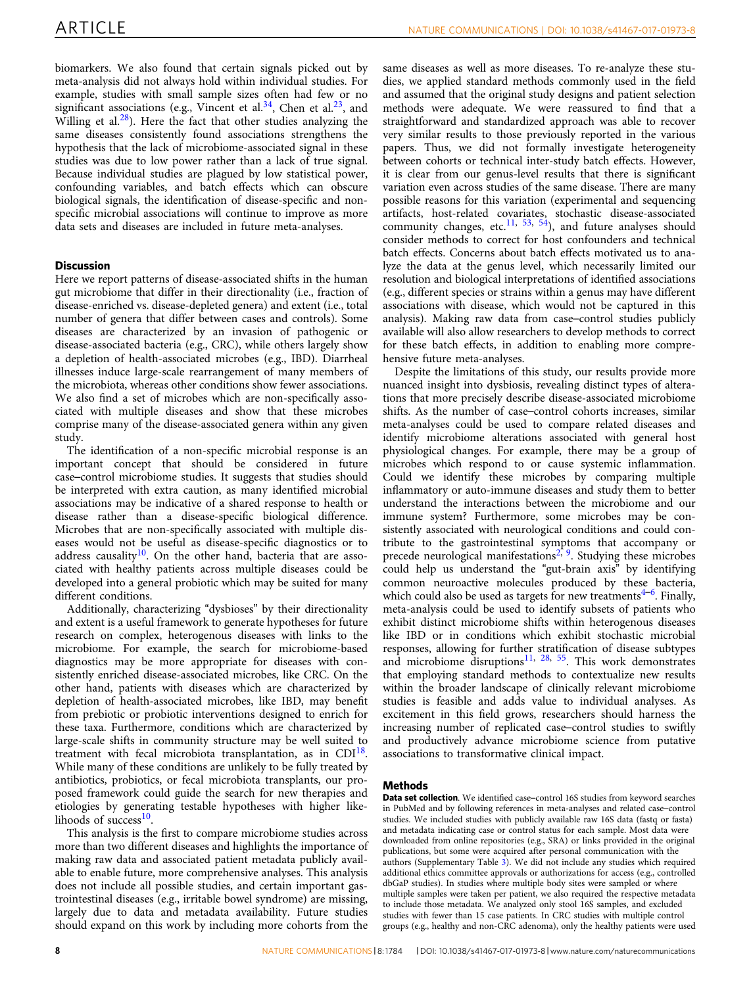biomarkers. We also found that certain signals picked out by meta-analysis did not always hold within individual studies. For example, studies with small sample sizes often had few or no significant associations (e.g., Vincent et al. $34$ , Chen et al. $23$ , and Willing et al. $28$ ). Here the fact that other studies analyzing the same diseases consistently found associations strengthens the hypothesis that the lack of microbiome-associated signal in these studies was due to low power rather than a lack of true signal. Because individual studies are plagued by low statistical power, confounding variables, and batch effects which can obscure biological signals, the identification of disease-specific and nonspecific microbial associations will continue to improve as more data sets and diseases are included in future meta-analyses.

## **Discussion**

Here we report patterns of disease-associated shifts in the human gut microbiome that differ in their directionality (i.e., fraction of disease-enriched vs. disease-depleted genera) and extent (i.e., total number of genera that differ between cases and controls). Some diseases are characterized by an invasion of pathogenic or disease-associated bacteria (e.g., CRC), while others largely show a depletion of health-associated microbes (e.g., IBD). Diarrheal illnesses induce large-scale rearrangement of many members of the microbiota, whereas other conditions show fewer associations. We also find a set of microbes which are non-specifically associated with multiple diseases and show that these microbes comprise many of the disease-associated genera within any given study.

The identification of a non-specific microbial response is an important concept that should be considered in future case–control microbiome studies. It suggests that studies should be interpreted with extra caution, as many identified microbial associations may be indicative of a shared response to health or disease rather than a disease-specific biological difference. Microbes that are non-specifically associated with multiple diseases would not be useful as disease-specific diagnostics or to address causality<sup>10</sup>. On the other hand, bacteria that are associated with healthy patients across multiple diseases could be developed into a general probiotic which may be suited for many different conditions.

Additionally, characterizing "dysbioses" by their directionality and extent is a useful framework to generate hypotheses for future research on complex, heterogenous diseases with links to the microbiome. For example, the search for microbiome-based diagnostics may be more appropriate for diseases with consistently enriched disease-associated microbes, like CRC. On the other hand, patients with diseases which are characterized by depletion of health-associated microbes, like IBD, may benefit from prebiotic or probiotic interventions designed to enrich for these taxa. Furthermore, conditions which are characterized by large-scale shifts in community structure may be well suited to treatment with fecal microbiota transplantation, as in  $CDI<sup>18</sup>$ . While many of these conditions are unlikely to be fully treated by antibiotics, probiotics, or fecal microbiota transplants, our proposed framework could guide the search for new therapies and etiologies by generating testable hypotheses with higher like-lihoods of success<sup>[10](#page-8-0)</sup>.

This analysis is the first to compare microbiome studies across more than two different diseases and highlights the importance of making raw data and associated patient metadata publicly available to enable future, more comprehensive analyses. This analysis does not include all possible studies, and certain important gastrointestinal diseases (e.g., irritable bowel syndrome) are missing, largely due to data and metadata availability. Future studies should expand on this work by including more cohorts from the same diseases as well as more diseases. To re-analyze these studies, we applied standard methods commonly used in the field and assumed that the original study designs and patient selection methods were adequate. We were reassured to find that a straightforward and standardized approach was able to recover very similar results to those previously reported in the various papers. Thus, we did not formally investigate heterogeneity between cohorts or technical inter-study batch effects. However, it is clear from our genus-level results that there is significant variation even across studies of the same disease. There are many possible reasons for this variation (experimental and sequencing artifacts, host-related covariates, stochastic disease-associated community changes, etc.<sup>[11,](#page-8-0) [53,](#page-9-0) [54](#page-9-0)</sup>), and future analyses should consider methods to correct for host confounders and technical batch effects. Concerns about batch effects motivated us to analyze the data at the genus level, which necessarily limited our resolution and biological interpretations of identified associations (e.g., different species or strains within a genus may have different associations with disease, which would not be captured in this analysis). Making raw data from case–control studies publicly available will also allow researchers to develop methods to correct for these batch effects, in addition to enabling more comprehensive future meta-analyses.

Despite the limitations of this study, our results provide more nuanced insight into dysbiosis, revealing distinct types of alterations that more precisely describe disease-associated microbiome shifts. As the number of case–control cohorts increases, similar meta-analyses could be used to compare related diseases and identify microbiome alterations associated with general host physiological changes. For example, there may be a group of microbes which respond to or cause systemic inflammation. Could we identify these microbes by comparing multiple inflammatory or auto-immune diseases and study them to better understand the interactions between the microbiome and our immune system? Furthermore, some microbes may be consistently associated with neurological conditions and could contribute to the gastrointestinal symptoms that accompany or precede neurological manifestations<sup>[2,](#page-8-0) 9</sup>. Studying these microbes could help us understand the "gut-brain axis" by identifying common neuroactive molecules produced by these bacteria, which could also be used as targets for new treatments $4-6$  $4-6$  $4-6$ . Finally, meta-analysis could be used to identify subsets of patients who exhibit distinct microbiome shifts within heterogenous diseases like IBD or in conditions which exhibit stochastic microbial responses, allowing for further stratification of disease subtypes and microbiome disruptions<sup>[11](#page-8-0), [28](#page-9-0), [55](#page-9-0)</sup>. This work demonstrates that employing standard methods to contextualize new results within the broader landscape of clinically relevant microbiome studies is feasible and adds value to individual analyses. As excitement in this field grows, researchers should harness the increasing number of replicated case–control studies to swiftly and productively advance microbiome science from putative associations to transformative clinical impact.

#### Methods

Data set collection. We identified case-control 16S studies from keyword searches in PubMed and by following references in meta-analyses and related case–control studies. We included studies with publicly available raw 16S data (fastq or fasta) and metadata indicating case or control status for each sample. Most data were downloaded from online repositories (e.g., SRA) or links provided in the original publications, but some were acquired after personal communication with the authors (Supplementary Table 3). We did not include any studies which required additional ethics committee approvals or authorizations for access (e.g., controlled dbGaP studies). In studies where multiple body sites were sampled or where multiple samples were taken per patient, we also required the respective metadata to include those metadata. We analyzed only stool 16S samples, and excluded studies with fewer than 15 case patients. In CRC studies with multiple control groups (e.g., healthy and non-CRC adenoma), only the healthy patients were used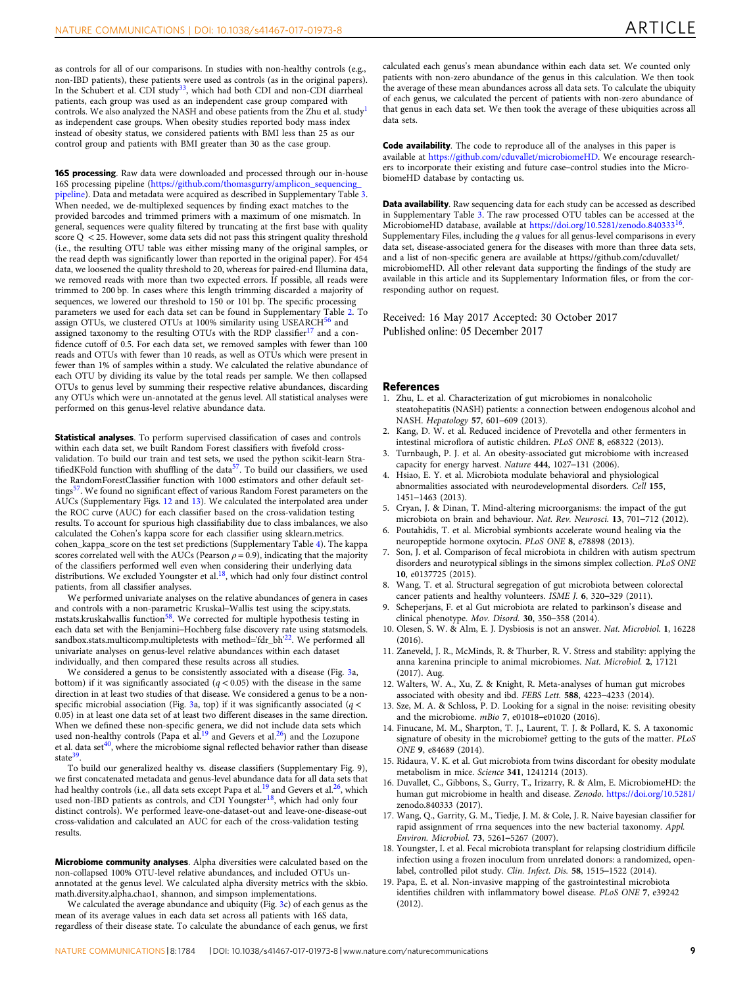<span id="page-8-0"></span>as controls for all of our comparisons. In studies with non-healthy controls (e.g., non-IBD patients), these patients were used as controls (as in the original papers).<br>In the Schubert et al. CDI study<sup>33</sup>, which had both CDI and non-CDI diarrheal patients, each group was used as an independent case group compared with controls. We also analyzed the NASH and obese patients from the Zhu et al. study<sup>1</sup> as independent case groups. When obesity studies reported body mass index instead of obesity status, we considered patients with BMI less than 25 as our control group and patients with BMI greater than 30 as the case group.

16S processing. Raw data were downloaded and processed through our in-house 16S processing pipeline ([https://github.com/thomasgurry/amplicon\\_sequencing\\_](https://github.com/thomasgurry/amplicon_sequencing_pipeline) [pipeline](https://github.com/thomasgurry/amplicon_sequencing_pipeline)). Data and metadata were acquired as described in Supplementary Table 3. When needed, we de-multiplexed sequences by finding exact matches to the provided barcodes and trimmed primers with a maximum of one mismatch. In general, sequences were quality filtered by truncating at the first base with quality score Q < 25. However, some data sets did not pass this stringent quality threshold (i.e., the resulting OTU table was either missing many of the original samples, or the read depth was significantly lower than reported in the original paper). For 454 data, we loosened the quality threshold to 20, whereas for paired-end Illumina data, we removed reads with more than two expected errors. If possible, all reads were trimmed to 200 bp. In cases where this length trimming discarded a majority of sequences, we lowered our threshold to 150 or 101 bp. The specific processing parameters we used for each data set can be found in Supplementary Table 2. To assign OTUs, we clustered OTUs at 100% similarity using USEARCH<sup>[56](#page-9-0)</sup> and assigned taxonomy to the resulting OTUs with the RDP classifier<sup>17</sup> and a confidence cutoff of 0.5. For each data set, we removed samples with fewer than 100 reads and OTUs with fewer than 10 reads, as well as OTUs which were present in fewer than 1% of samples within a study. We calculated the relative abundance of each OTU by dividing its value by the total reads per sample. We then collapsed OTUs to genus level by summing their respective relative abundances, discarding any OTUs which were un-annotated at the genus level. All statistical analyses were performed on this genus-level relative abundance data.

Statistical analyses. To perform supervised classification of cases and controls within each data set, we built Random Forest classifiers with fivefold crossvalidation. To build our train and test sets, we used the python scikit-learn StratifiedKFold function with shuffling of the data<sup>57</sup>. To build our classifiers, we used the RandomForestClassifier function with 1000 estimators and other default settings<sup>57</sup>. We found no significant effect of various Random Forest parameters on the AUCs (Supplementary Figs. 12 and 13). We calculated the interpolated area under the ROC curve (AUC) for each classifier based on the cross-validation testing results. To account for spurious high classifiability due to class imbalances, we also calculated the Cohen's kappa score for each classifier using sklearn.metrics. cohen\_kappa\_score on the test set predictions (Supplementary Table 4). The kappa scores correlated well with the AUCs (Pearson  $\rho = 0.9$ ), indicating that the majority of the classifiers performed well even when considering their underlying data distributions. We excluded Youngster et al.<sup>18</sup>, which had only four distinct control patients, from all classifier analyses.

We performed univariate analyses on the relative abundances of genera in cases and controls with a non-parametric Kruskal–Wallis test using the scipy.stats. mstats.kruskalwallis function<sup>58</sup>. We corrected for multiple hypothesis testing in each data set with the Benjamini–Hochberg false discovery rate using statsmodels. sandbox.stats.multicomp.multipletests with method='fdr\_bh'[22](#page-9-0). We performed all univariate analyses on genus-level relative abundances within each dataset individually, and then compared these results across all studies.

We considered a genus to be consistently associated with a disease (Fig. [3](#page-5-0)a, bottom) if it was significantly associated ( $q < 0.05$ ) with the disease in the same direction in at least two studies of that disease. We considered a genus to be a non-specific microbial association (Fig. [3a](#page-5-0), top) if it was significantly associated ( $q$  < 0.05) in at least one data set of at least two different diseases in the same direction. When we defined these non-specific genera, we did not include data sets which used non-healthy controls (Papa et al.<sup>19</sup> and Gevers et al.<sup>26</sup>) and the Lozupone et al. data set $40$ , where the microbiome signal reflected behavior rather than disease state<sup>39</sup>

To build our generalized healthy vs. disease classifiers (Supplementary Fig. 9), we first concatenated metadata and genus-level abundance data for all data sets that had healthy controls (i.e., all data sets except Papa et al.<sup>19</sup> and Gevers et al.<sup>26</sup>, which used non-IBD patients as controls, and CDI Youngster<sup>18</sup>, which had only four distinct controls). We performed leave-one-dataset-out and leave-one-disease-out cross-validation and calculated an AUC for each of the cross-validation testing results.

Microbiome community analyses. Alpha diversities were calculated based on the non-collapsed 100% OTU-level relative abundances, and included OTUs unannotated at the genus level. We calculated alpha diversity metrics with the skbio. math.diversity.alpha.chao1, shannon, and simpson implementations.

We calculated the average abundance and ubiquity (Fig. [3](#page-5-0)c) of each genus as the mean of its average values in each data set across all patients with 16S data, regardless of their disease state. To calculate the abundance of each genus, we first

calculated each genus's mean abundance within each data set. We counted only patients with non-zero abundance of the genus in this calculation. We then took the average of these mean abundances across all data sets. To calculate the ubiquity of each genus, we calculated the percent of patients with non-zero abundance of that genus in each data set. We then took the average of these ubiquities across all data sets.

Code availability. The code to reproduce all of the analyses in this paper is available at <https://github.com/cduvallet/microbiomeHD>. We encourage researchers to incorporate their existing and future case–control studies into the MicrobiomeHD database by contacting us.

Data availability. Raw sequencing data for each study can be accessed as described in Supplementary Table 3. The raw processed OTU tables can be accessed at the MicrobiomeHD database, available at <https://doi.org/10.5281/zenodo.840333><sup>16</sup> Supplementary Files, including the  $q$  values for all genus-level comparisons in every data set, disease-associated genera for the diseases with more than three data sets, and a list of non-specific genera are available at https://github.com/cduvallet/ microbiomeHD. All other relevant data supporting the findings of the study are available in this article and its Supplementary Information files, or from the corresponding author on request.

Received: 16 May 2017 Accepted: 30 October 2017 Published online: 05 December 2017

#### References

- 1. Zhu, L. et al. Characterization of gut microbiomes in nonalcoholic steatohepatitis (NASH) patients: a connection between endogenous alcohol and NASH. Hepatology 57, 601–609 (2013).
- Kang, D. W. et al. Reduced incidence of Prevotella and other fermenters in intestinal microflora of autistic children. PLoS ONE 8, e68322 (2013).
- 3. Turnbaugh, P. J. et al. An obesity-associated gut microbiome with increased capacity for energy harvest. Nature 444, 1027–131 (2006).
- 4. Hsiao, E. Y. et al. Microbiota modulate behavioral and physiological abnormalities associated with neurodevelopmental disorders. Cell 155, 1451–1463 (2013).
- 5. Cryan, J. & Dinan, T. Mind-altering microorganisms: the impact of the gut microbiota on brain and behaviour. Nat. Rev. Neurosci. 13, 701–712 (2012).
- 6. Poutahidis, T. et al. Microbial symbionts accelerate wound healing via the neuropeptide hormone oxytocin. PLoS ONE 8, e78898 (2013).
- 7. Son, J. et al. Comparison of fecal microbiota in children with autism spectrum disorders and neurotypical siblings in the simons simplex collection. PLoS ONE 10, e0137725 (2015).
- 8. Wang, T. et al. Structural segregation of gut microbiota between colorectal cancer patients and healthy volunteers. ISME J. 6, 320–329 (2011).
- 9. Scheperjans, F. et al Gut microbiota are related to parkinson's disease and clinical phenotype. Mov. Disord. 30, 350-358 (2014).
- 10. Olesen, S. W. & Alm, E. J. Dysbiosis is not an answer. Nat. Microbiol. 1, 16228 (2016).
- 11. Zaneveld, J. R., McMinds, R. & Thurber, R. V. Stress and stability: applying the anna karenina principle to animal microbiomes. Nat. Microbiol. 2, 17121 (2017). Aug.
- 12. Walters, W. A., Xu, Z. & Knight, R. Meta-analyses of human gut microbes associated with obesity and ibd. FEBS Lett. 588, 4223–4233 (2014).
- 13. Sze, M. A. & Schloss, P. D. Looking for a signal in the noise: revisiting obesity and the microbiome. mBio 7, e01018–e01020 (2016).
- 14. Finucane, M. M., Sharpton, T. J., Laurent, T. J. & Pollard, K. S. A taxonomic signature of obesity in the microbiome? getting to the guts of the matter. PLoS ONE 9, e84689 (2014).
- 15. Ridaura, V. K. et al. Gut microbiota from twins discordant for obesity modulate metabolism in mice. Science 341, 1241214 (2013).
- 16. Duvallet, C., Gibbons, S., Gurry, T., Irizarry, R. & Alm, E. MicrobiomeHD: the human gut microbiome in health and disease. Zenodo. <https://doi.org/10.5281/> zenodo.840333 (2017).
- 17. Wang, Q., Garrity, G. M., Tiedje, J. M. & Cole, J. R. Naive bayesian classifier for rapid assignment of rrna sequences into the new bacterial taxonomy. Appl. Environ. Microbiol. 73, 5261–5267 (2007).
- 18. Youngster, I. et al. Fecal microbiota transplant for relapsing clostridium difficile infection using a frozen inoculum from unrelated donors: a randomized, openlabel, controlled pilot study. Clin. Infect. Dis. 58, 1515–1522 (2014).
- 19. Papa, E. et al. Non-invasive mapping of the gastrointestinal microbiota identifies children with inflammatory bowel disease. PLoS ONE 7, e39242 (2012).